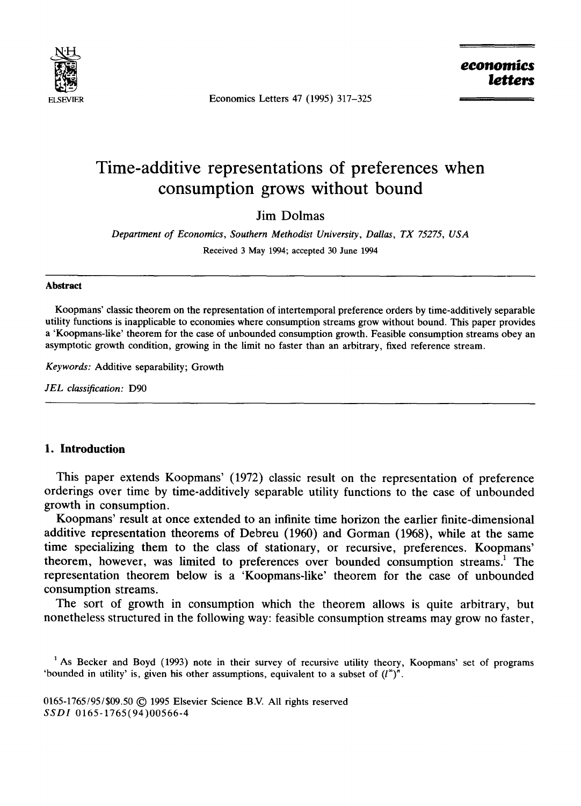

Economics Letters 47 (1995) 317-325

# **Time-additive representations of preferences when consumption grows without bound**

Jim Dolmas

*Department of Economics, Southern Methodist University, Dallas, TX 75275, USA*  Received 3 May 1994; accepted 30 June 1994

#### **Abstract**

Koopmans' classic theorem on the representation of intertemporal preference orders by time-additively separable utility functions is inapplicable to economies where consumption streams grow without bound. This paper provides a 'Koopmans-like' theorem for the case of unbounded consumption growth. Feasible consumption streams obey an asymptotic growth condition, growing in the limit no faster than an arbitrary, fixed reference stream.

*Keywords:* Additive separability; Growth

*JEL classification:* D90

# **I. Introduction**

This paper extends Koopmans' (1972) classic result on the representation of preference orderings over time by time-additively separable utility functions to the case of unbounded growth in consumption.

Koopmans' result at once extended to an infinite time horizon the earlier finite-dimensional additive representation theorems of Debreu (1960) and Gorman (1968), while at the same time specializing them to the class of stationary, or recursive, preferences. Koopmans' theorem, however, was limited to preferences over bounded consumption streams.<sup>1</sup> The representation theorem below is a 'Koopmans-like' theorem for the case of unbounded consumption streams.

The sort of growth in consumption which the theorem allows is quite arbitrary, but nonetheless structured in the following way: feasible consumption streams may grow no faster,

<sup>1</sup> As Becker and Boyd (1993) note in their survey of recursive utility theory, Koopmans' set of programs 'bounded in utility' is, given his other assumptions, equivalent to a subset of  $(l^{\infty})^n$ .

0165-1765/95/\$09.50 © 1995 Elsevier Science B.V. All rights reserved *SSDI* 0165-1765(94)00566-4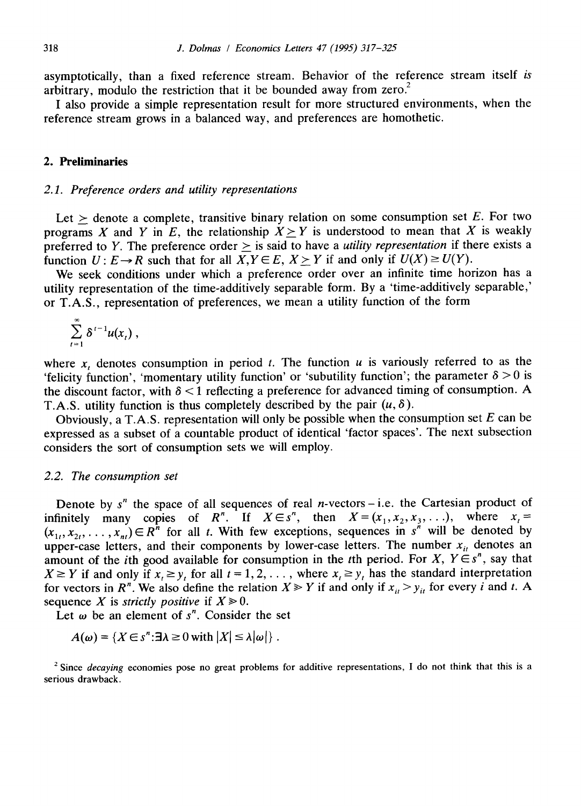asymptotically, than a fixed reference stream. Behavior of the reference stream itself *is*  arbitrary, modulo the restriction that it be bounded away from zero.<sup>2</sup>

I also provide a simple representation result for more structured environments, when the reference stream grows in a balanced way, and preferences are homothetic.

# **2. Preliminaries**

## *2.1. Preference orders and utility representations*

Let  $\ge$  denote a complete, transitive binary relation on some consumption set E. For two programs X and Y in E, the relationship  $X > Y$  is understood to mean that X is weakly preferred to Y. The preference order  $\geq$  is said to have a *utility representation* if there exists a function  $U: E \to R$  such that for all  $X, Y \in E$ ,  $X \geq Y$  if and only if  $U(X) \geq U(Y)$ .

We seek conditions under which a preference order over an infinite time horizon has a utility representation of the time-additively separable form. By a 'time-additively separable,' or T.A.S., representation of preferences, we mean a utility function of the form

$$
\sum_{t=1}^{\infty} \delta^{t-1} u(x_t) ,
$$

where x, denotes consumption in period t. The function  $u$  is variously referred to as the 'felicity function', 'momentary utility function' or 'subutility function'; the parameter  $\delta > 0$  is the discount factor, with  $\delta$  < 1 reflecting a preference for advanced timing of consumption. A T.A.S. utility function is thus completely described by the pair  $(u, \delta)$ .

Obviously, a T.A.S. representation will only be possible when the consumption set  $E$  can be expressed as a subset of a countable product of identical 'factor spaces'. The next subsection considers the sort of consumption sets we will employ.

### *2.2. The consumption set*

Denote by  $s^n$  the space of all sequences of real *n*-vectors-i.e. the Cartesian product of infinitely many copies of R<sup>n</sup>. If  $X \in S^n$ , then  $X = (x_1, x_2, x_3, \ldots)$ , where  $x_i =$  $(x_1, x_2, \ldots, x_n) \in \mathbb{R}^n$  for all t. With few exceptions, sequences in  $s^n$  will be denoted by upper-case letters, and their components by lower-case letters. The number  $x_{it}$  denotes an amount of the *i*th good available for consumption in the *t*th period. For X,  $Y \in S^n$ , say that  $X \geq Y$  if and only if  $x_i \geq y_i$  for all  $t = 1, 2, \ldots$ , where  $x_i \geq y_i$  has the standard interpretation for vectors in  $R^n$ . We also define the relation  $X \ge Y$  if and only if  $x_{ij} > y_{ij}$  for every i and t. A sequence X is *strictly positive* if  $X \ge 0$ .

Let  $\omega$  be an element of s<sup>"</sup>. Consider the set

$$
A(\omega) = \{X \in s^n : \exists \lambda \geq 0 \text{ with } |X| \leq \lambda |\omega| \}.
$$

<sup>2</sup> Since *decaying* economies pose no great problems for additive representations, I do not think that this is a serious drawback.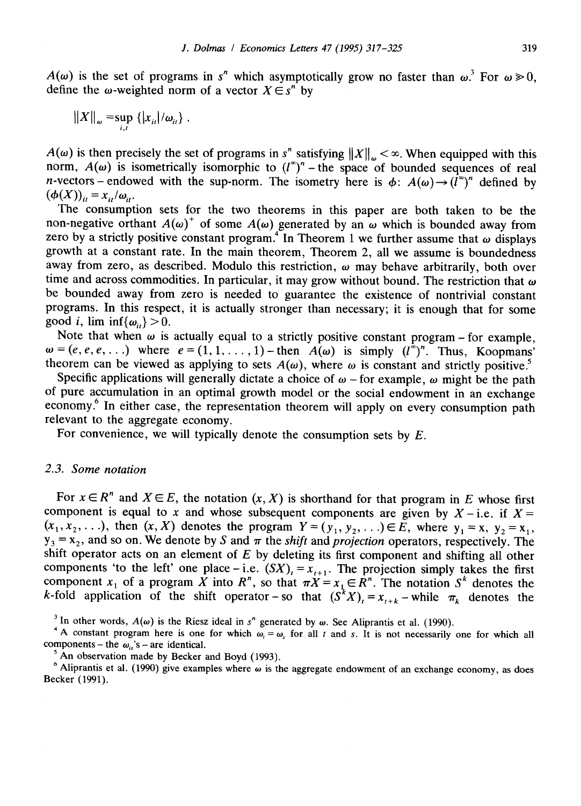$A(\omega)$  is the set of programs in *s<sup>n</sup>* which asymptotically grow no faster than  $\omega$ <sup>3</sup>. For  $\omega \ge 0$ , define the  $\omega$ -weighted norm of a vector  $X \in S^n$  by

$$
||X||_{\omega} = \sup_{i,t} \{ |x_{it}|/\omega_{it} \}.
$$

 $A(\omega)$  is then precisely the set of programs in s<sup>n</sup> satisfying  $||X||_{\omega} < \infty$ . When equipped with this norm,  $A(\omega)$  is isometrically isomorphic to  $(l^{\infty})^n$  – the space of bounded sequences of real n-vectors – endowed with the sup-norm. The isometry here is  $\phi$ :  $A(\omega) \rightarrow (l^{\infty})^n$  defined by  $(\phi(X))_{ii} = x_{ii}/\omega_{ii}$ .

The consumption sets for the two theorems in this paper are both taken to be the non-negative orthant  $A(\omega)^+$  of some  $A(\omega)$  generated by an  $\omega$  which is bounded away from zero by a strictly positive constant program.<sup>4</sup> In Theorem 1 we further assume that  $\omega$  displays growth at a constant rate. In the main theorem, Theorem 2, all we assume is boundedness away from zero, as described. Modulo this restriction,  $\omega$  may behave arbitrarily, both over time and across commodities. In particular, it may grow without bound. The restriction that  $\omega$ be bounded away from zero is needed to guarantee the existence of nontrivial constant programs. In this respect, it is actually stronger than necessary; it is enough that for some good *i*,  $\liminf \{\omega_{i}\} > 0$ .

Note that when  $\omega$  is actually equal to a strictly positive constant program – for example,  $\omega = (e, e, e, \ldots)$  where  $e = (1, 1, \ldots, 1)$  - then  $A(\omega)$  is simply  $(l^{\omega})^n$ . Thus, Koopmans' theorem can be viewed as applying to sets  $A(\omega)$ , where  $\omega$  is constant and strictly positive.<sup>5</sup>

Specific applications will generally dictate a choice of  $\omega$  -for example,  $\omega$  might be the path of pure accumulation in an optimal growth model or the social endowment in an exchange economy.<sup>6</sup> In either case, the representation theorem will apply on every consumption path relevant to the aggregate economy.

For convenience, we will typically denote the consumption sets by  $E$ .

## *2.3. Some notation*

For  $x \in \mathbb{R}^n$  and  $X \in \mathbb{E}$ , the notation  $(x, X)$  is shorthand for that program in E whose first component is equal to x and whose subsequent components are given by  $X - i.e.$  if  $X =$  $(x_1, x_2, \ldots)$ , then  $(x, X)$  denotes the program  $Y = (y_1, y_2, \ldots) \in E$ , where  $y_1 = x$ ,  $y_2 = x_1$ ,  $y_3 = x_2$ , and so on. We denote by S and  $\pi$  the *shift* and *projection* operators, respectively. The shift operator acts on an element of  $E$  by deleting its first component and shifting all other components 'to the left' one place - i.e.  $(SX)_t = x_{t+1}$ . The projection simply takes the first component  $x_1$  of a program X into R", so that  $\pi X = x_1 \in R$ ". The notation S" denotes the k-fold application of the shift operator-so that  $(S^*X)_t = x_{t+k}$ -while  $\pi_k$  denotes the

<sup>3</sup> In other words,  $A(\omega)$  is the Riesz ideal in s<sup>n</sup> generated by  $\omega$ . See Aliprantis et al. (1990).

 $<sup>5</sup>$  An observation made by Becker and Boyd (1993).</sup>

<sup>&</sup>lt;sup>4</sup> A constant program here is one for which  $\omega$ , =  $\omega$ , for all t and s. It is not necessarily one for which all components - the  $\omega_{it}$ 's - are identical.

<sup>&</sup>lt;sup>6</sup> Aliprantis et al. (1990) give examples where  $\omega$  is the aggregate endowment of an exchange economy, as does Becker (1991).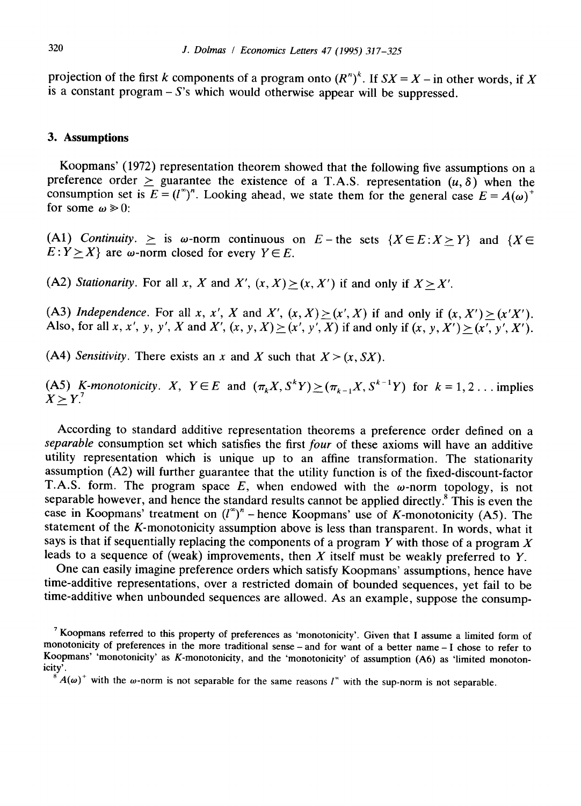projection of the first k components of a program onto  $(R^n)^k$ . If  $SX = X -$  in other words, if X is a constant program  $- S$ 's which would otherwise appear will be suppressed.

## **3. Assumptions**

Koopmans' (1972) representation theorem showed that the following five assumptions on a preference order  $>$  guarantee the existence of a T.A.S. representation  $(u, \delta)$  when the consumption set is  $E = (l^{\infty})^n$ . Looking ahead, we state them for the general case  $E = A(\omega)^+$ for some  $\omega \ge 0$ :

(A1) *Continuity.*  $\geq$  is  $\omega$ -norm continuous on  $E$ -the sets  $\{X \in E : X \geq Y\}$  and  $\{X \in E : X \geq Y\}$  $E: Y \geq X$  are  $\omega$ -norm closed for every  $Y \in E$ .

(A2) *Stationarity.* For all x, X and X',  $(x, X) > (x, X')$  if and only if  $X > X'$ .

(A3) *Independence*. For all x, x', X and X',  $(x, X) > (x', X)$  if and only if  $(x, X') > (x'X')$ . Also, for all x, x', y, y', X and X',  $(x, y, X) \ge (x', y', X)$  if and only if  $(x, y, X') > (x', y', X')$ .

(A4) *Sensitivity*. There exists an x and X such that  $X > (x, SX)$ .

(A5) *K*-monotonicity. *X*,  $Y \in E$  and  $(\pi_k X, S^k Y) \geq (\pi_{k-1} X, S^{k-1} Y)$  for  $k = 1, 2...$  implies  $X > Y$ <sup>7</sup>

According to standard additive representation theorems a preference order defined on a *separable* consumption set which satisfies the first *four* of these axioms will have an additive utility representation which is unique up to an affine transformation. The stationarity assumption (A2) will further guarantee that the utility function is of the fixed-discount-factor T.A.S. form. The program space  $E$ , when endowed with the  $\omega$ -norm topology, is not separable however, and hence the standard results cannot be applied directly.<sup>8</sup> This is even the case in Koopmans' treatment on  $(l^{\infty})^n$  – hence Koopmans' use of K-monotonicity (A5). The statement of the K-monotonicity assumption above is less than transparent. In words, what it says is that if sequentially replacing the components of a program Y with those of a program X leads to a sequence of (weak) improvements, then  $X$  itself must be weakly preferred to  $Y$ .

One can easily imagine preference orders which satisfy Koopmans' assumptions, hence have time-additive representations, over a restricted domain of bounded sequences, yet fail to be time-additive when unbounded sequences are allowed. As an example, suppose the consump-

<sup>7</sup> Koopmans referred to this property of preferences as 'monotonicity'. Given that I assume a limited form of monotonicity of preferences in the more traditional sense- and for want of a better name- I chose to refer to Koopmans' 'monotonicity' as K-monotonicity, and the 'monotonicity' of assumption (A6) as 'limited monotonicity'.

 $8^{8}A(\omega)^{+}$  with the  $\omega$ -norm is not separable for the same reasons  $I^{\infty}$  with the sup-norm is not separable.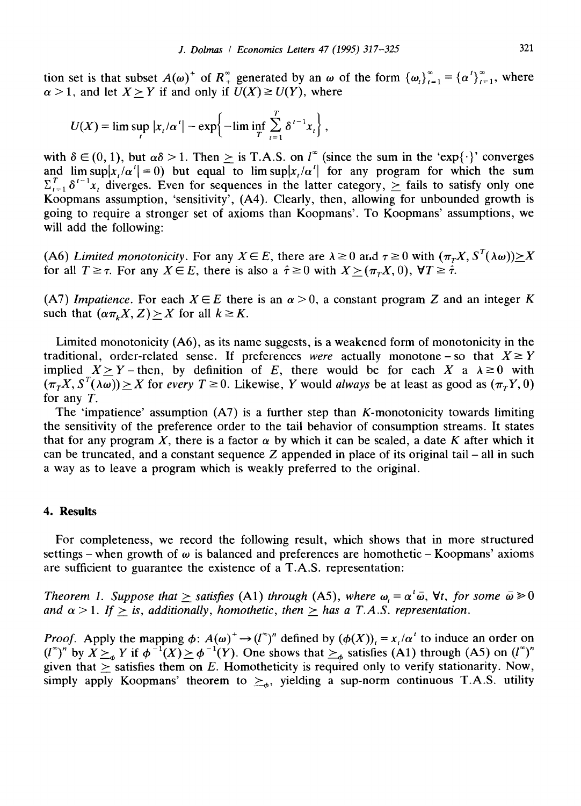tion set is that subset  $A(\omega)^+$  of  $R_+^{\infty}$  generated by an  $\omega$  of the form  ${\omega_i}_{i=1}^{\infty} = {\alpha'}_{i=1}^{\infty}$ , where  $\alpha > 1$ , and let  $X > Y$  if and only if  $U(X) \ge U(Y)$ , where

$$
U(X) = \lim \sup_{t} |x_t/\alpha^t| - \exp\left\{-\lim \inf_{T} \sum_{t=1}^{T} \delta^{t-1} x_t\right\},\,
$$

with  $\delta \in (0, 1)$ , but  $\alpha\delta > 1$ . Then  $\geq$  is T.A.S. on  $l^*$  (since the sum in the 'exp{.}' converges and  $\limsup |x/\alpha'| = 0$ ) but equal to  $\limsup |x/\alpha'|$  for any program for which the sum  $\sum_{t=1}^{T} \delta^{t-1}x_t$  diverges. Even for sequences in the latter category,  $\geq$  fails to satisfy only one Koopmans assumption, 'sensitivity', (A4). Clearly, then, allowing for unbounded growth is going to require a stronger set of axioms than Koopmans'. To Koopmans' assumptions, we will add the following:

(A6) *Limited monotonicity*. For any  $X \in E$ , there are  $\lambda \ge 0$  and  $\tau \ge 0$  with  $(\pi_{T}X, S^{T}(\lambda \omega)) \ge X$ for all  $T \geq \tau$ . For any  $X \in E$ , there is also a  $\hat{\tau} \geq 0$  with  $X \geq (\pi_r X, 0)$ ,  $\forall T \geq \hat{\tau}$ .

(A7) *Impatience.* For each  $X \in E$  there is an  $\alpha > 0$ , a constant program Z and an integer K such that  $(\alpha \pi_k X, Z) > X$  for all  $k \geq K$ .

Limited monotonicity (A6), as its name suggests, is a weakened form of monotonicity in the traditional, order-related sense. If preferences *were* actually monotone – so that  $X \geq Y$ implied  $X \ge Y$ -then, by definition of E, there would be for each X a  $\lambda \ge 0$  with  $(\pi_r X, S^T(\lambda \omega)) \ge X$  for *every T* ≥ 0. Likewise, *Y* would *always* be at least as good as  $(\pi_r Y, 0)$ for any T.

The 'impatience' assumption  $(A7)$  is a further step than K-monotonicity towards limiting the sensitivity of the preference order to the tail behavior of consumption streams. It states that for any program X, there is a factor  $\alpha$  by which it can be scaled, a date K after which it can be truncated, and a constant sequence  $Z$  appended in place of its original tail – all in such a way as to leave a program which is weakly preferred to the original.

## **4. Results**

For completeness, we record the following result, which shows that in more structured settings – when growth of  $\omega$  is balanced and preferences are homothetic – Koopmans' axioms are sufficient to guarantee the existence of a T.A.S. representation:

Theorem 1. Suppose that  $\geq$  satisfies (A1) through (A5), where  $\omega_t = \alpha^t \bar{\omega}$ ,  $\forall t$ , for some  $\bar{\omega} \geq 0$ *and*  $\alpha > 1$ . If  $>$  is, additionally, homothetic, then  $>$  has a T.A.S. representation.

*Proof.* Apply the mapping  $\phi: A(\omega)^+ \to (l^{\infty})^n$  defined by  $(\phi(X))_i = x_i/\alpha^i$  to induce an order on  $(l^{\infty})^n$  by  $X \succeq_{\alpha} Y$  if  $\phi^{-1}(X) \succeq \phi^{-1}(Y)$ . One shows that  $\succeq_{\alpha}$  satisfies (A1) through (A5) on  $(l^{\infty})^n$ given that  $\geq$  satisfies them on E. Homotheticity is required only to verify stationarity. Now, simply apply Koopmans' theorem to  $\geq_{\phi}$ , yielding a sup-norm continuous T.A.S. utility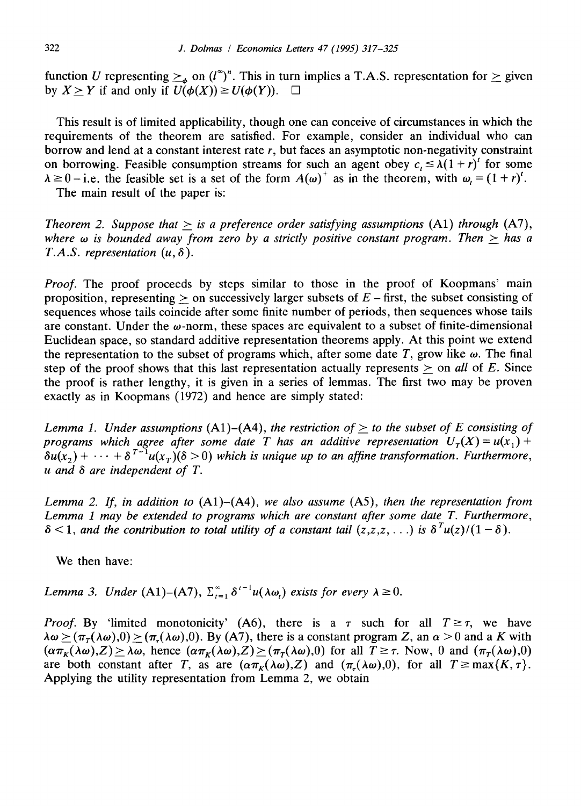function U representing  $\geq_{\phi}$  on  $(l^{\infty})^n$ . This in turn implies a T.A.S. representation for  $\geq$  given by  $X \geq Y$  if and only if  $U(\phi(X)) \geq U(\phi(Y))$ .  $\Box$ 

This result is of limited applicability, though one can conceive of circumstances in which the requirements of the theorem are satisfied. For example, consider an individual who can borrow and lend at a constant interest rate  $r$ , but faces an asymptotic non-negativity constraint on borrowing. Feasible consumption streams for such an agent obey  $c \leq \lambda(1+r)^t$  for some  $\lambda \ge 0$  - i.e. the feasible set is a set of the form  $A(\omega)^+$  as in the theorem, with  $\omega = (1 + r)^t$ .

The main result of the paper is:

*Theorem 2. Suppose that*  $\geq$  *is a preference order satisfying assumptions* (A1) *through* (A7), where  $\omega$  is bounded away from zero by a strictly positive constant program. Then  $>$  has a *T.A.S. representation*  $(u, \delta)$ .

*Proof.* The proof proceeds by steps similar to those in the proof of Koopmans' main proposition, representing  $>$  on successively larger subsets of  $E$  – first, the subset consisting of sequences whose tails coincide after some finite number of periods, then sequences whose tails are constant. Under the  $\omega$ -norm, these spaces are equivalent to a subset of finite-dimensional Euclidean space, so standard additive representation theorems apply. At this point we extend the representation to the subset of programs which, after some date T, grow like  $\omega$ . The final step of the proof shows that this last representation actually represents  $>$  on *all* of E. Since the proof is rather lengthy, it is given in a series of lemmas. The first two may be proven exactly as in Koopmans (1972) and hence are simply stated:

*Lemma 1. Under assumptions*  $(A1)$ – $(A4)$ , *the restriction of > to the subset of E consisting of programs which agree after some date T has an additive representation*  $U_T(X) = u(x_1) +$  $\delta u(x_2) + \cdots + \delta^{T-1} u(x_T) (\delta > 0)$  which is unique up to an affine transformation. Furthermore, *u and 6 are independent of T.* 

*Lemma 2. If, in addition to* (A1)-(A4), *we also assume* (A5), *then the representation from Lemma 1 may be extended to programs which are constant after some date T. Furthermore,*   $\delta$  < 1, and the contribution to total utility of a constant tail  $(z, z, z, \ldots)$  is  $\delta^{T}u(z)/(1 - \delta)$ .

We then have:

*Lemma 3. Under* (A1)–(A7),  $\sum_{r=1}^{\infty} \delta^{r-1} u(\lambda \omega_r)$  exists for every  $\lambda \geq 0$ .

*Proof.* By 'limited monotonicity' (A6), there is a  $\tau$  such for all  $T \ge \tau$ , we have  $\lambda \omega \ge (\pi(\lambda \omega),0) \ge (\pi(\lambda \omega),0)$ . By (A7), there is a constant program Z, an  $\alpha > 0$  and a K with  $(\alpha \pi_K(\lambda \omega), Z) \ge \lambda \omega$ , hence  $(\alpha \pi_K(\lambda \omega), Z) \ge (\pi_T(\lambda \omega), 0)$  for all  $T \ge \tau$ . Now, 0 and  $(\pi_T(\lambda \omega), 0)$ are both constant after T, as are  $(\alpha \pi_K(\lambda \omega), Z)$  and  $(\pi_L(\lambda \omega), 0)$ , for all  $T \ge \max\{K, \tau\}$ . Applying the utility representation from Lemma 2, we obtain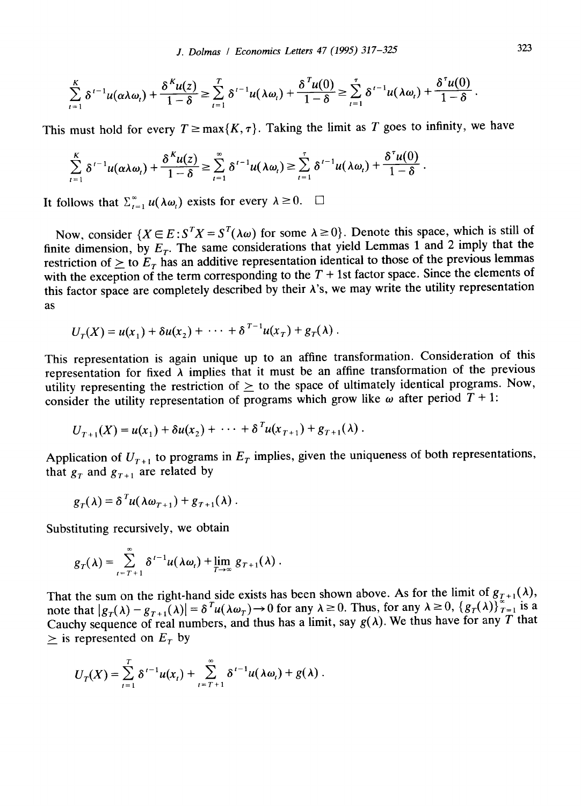$$
\sum_{t=1}^K \delta^{t-1} u(\alpha \lambda \omega_t) + \frac{\delta^K u(z)}{1 - \delta} \ge \sum_{t=1}^T \delta^{t-1} u(\lambda \omega_t) + \frac{\delta^T u(0)}{1 - \delta} \ge \sum_{t=1}^T \delta^{t-1} u(\lambda \omega_t) + \frac{\delta^T u(0)}{1 - \delta}
$$

This must hold for every  $T \ge \max\{K, \tau\}$ . Taking the limit as T goes to infinity, we have

$$
\sum_{t=1}^K \delta^{t-1} u(\alpha \lambda \omega_t) + \frac{\delta^K u(z)}{1-\delta} \ge \sum_{t=1}^\infty \delta^{t-1} u(\lambda \omega_t) \ge \sum_{t=1}^\tau \delta^{t-1} u(\lambda \omega_t) + \frac{\delta^T u(0)}{1-\delta}.
$$

It follows that  $\sum_{t=1}^{\infty} u(\lambda \omega_t)$  exists for every  $\lambda \geq 0$ .  $\Box$ 

Now, consider  $\{X \in E : S^T X = S^T(\lambda \omega) \text{ for some } \lambda \ge 0\}$ . Denote this space, which is still of finite dimension, by  $E_T$ . The same considerations that yield Lemmas 1 and 2 imply that the restriction of  $\geq$  to  $E_T$  has an additive representation identical to those of the previous lemmas with the exception of the term corresponding to the  $T + 1$ st factor space. Since the elements of this factor space are completely described by their  $\lambda$ 's, we may write the utility representation as

$$
U_{\tau}(X) = u(x_1) + \delta u(x_2) + \cdots + \delta^{T-1} u(x_T) + g_T(\lambda).
$$

This representation is again unique up to an affine transformation. Consideration of this representation for fixed  $\lambda$  implies that it must be an affine transformation of the previous utility representing the restriction of  $\geq$  to the space of ultimately identical programs. Now, consider the utility representation of programs which grow like  $\omega$  after period  $T + 1$ :

$$
U_{T+1}(X) = u(x_1) + \delta u(x_2) + \cdots + \delta^{T} u(x_{T+1}) + g_{T+1}(\lambda).
$$

Application of  $U_{T+1}$  to programs in  $E_T$  implies, given the uniqueness of both representations, that  $g_r$  and  $g_{r+1}$  are related by

$$
g_T(\lambda) = \delta^T u(\lambda \omega_{T+1}) + g_{T+1}(\lambda).
$$

Substituting recursively, we obtain

$$
g_T(\lambda) = \sum_{t=T+1}^{\infty} \delta^{t-1} u(\lambda \omega_t) + \lim_{T \to \infty} g_{T+1}(\lambda).
$$

That the sum on the right-hand side exists has been shown above. As for the limit of  $g_{T+1}(\lambda)$ , note that  $|g_r(\lambda) - g_{r+1}(\lambda)| = \delta^{r} u(\lambda \omega_r) \to 0$  for any  $\lambda \ge 0$ . Thus, for any  $\lambda \ge 0$ ,  $\{g_r(\lambda)\}_{r=1}^{\infty}$  is a Cauchy sequence of real numbers, and thus has a limit, say  $g(\lambda)$ . We thus have for any T that  $>$  is represented on  $E<sub>r</sub>$  by

$$
U_T(X)=\sum_{i=1}^T\delta^{i-1}u(x_i)+\sum_{i=T+1}^{\infty}\delta^{i-1}u(\lambda\omega_i)+g(\lambda).
$$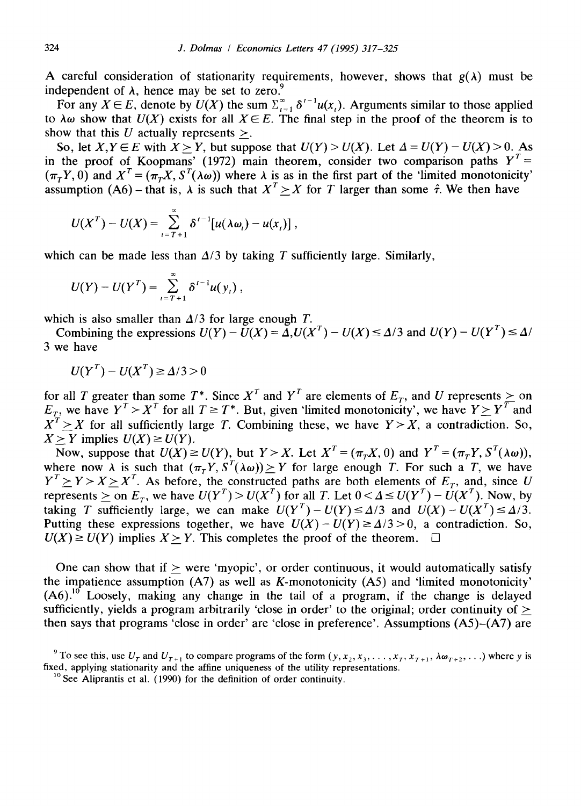A careful consideration of stationarity requirements, however, shows that  $g(\lambda)$  must be independent of  $\lambda$ , hence may be set to zero.<sup>9</sup>

For any  $X \in E$ , denote by  $U(X)$  the sum  $\sum_{i=1}^{\infty} \delta^{i-1} u(x_i)$ . Arguments similar to those applied to  $\lambda \omega$  show that  $U(X)$  exists for all  $X \in E$ . The final step in the proof of the theorem is to show that this U actually represents  $\geq$ .

So, let  $X, Y \in E$  with  $X > Y$ , but suppose that  $U(Y) > U(X)$ . Let  $\Delta = U(Y) - U(X) > 0$ . As in the proof of Koopmans' (1972) main theorem, consider two comparison paths  $Y^T =$  $(\pi_T Y, 0)$  and  $X^T = (\pi_T X, S^T(\lambda \omega))$  where  $\lambda$  is as in the first part of the 'limited monotonicity' assumption  $(A6)$  – that is,  $\lambda$  is such that  $X^T > X$  for T larger than some  $\hat{\tau}$ . We then have

$$
U(XT) - U(X) = \sum_{i=T+1}^{\infty} \delta^{i-1}[u(\lambda \omega_i) - u(x_i)],
$$

which can be made less than  $\Delta/3$  by taking T sufficiently large. Similarly,

$$
U(Y) - U(Y^T) = \sum_{i=T+1}^{\infty} \delta^{i-1} u(y_i) ,
$$

which is also smaller than  $\Delta/3$  for large enough T.

Combining the expressions  $U(Y) - U(X) = \Delta U(X^T) - U(X) \le \Delta/3$  and  $U(Y) - U(Y^T) \le \Delta/3$ 3 we have

$$
U(YT) - U(XT) \ge \Delta/3 > 0
$$

for all T greater than some T<sup>\*</sup>. Since X' and Y' are elements of  $E_T$ , and U represents  $\geq$  on  $E_T$ , we have  $Y' > X'$  for all  $T \geq T^*$ . But, given 'limited monotonicity', we have  $Y \geq Y'$  and  $X' \geq X$  for all sufficiently large T. Combining these, we have  $Y \geq X$ , a contradiction. So,  $X > Y$  implies  $U(X) \ge U(Y)$ .

Now, suppose that  $U(X) \ge U(Y)$ , but  $Y > X$ . Let  $X^T = (\pi_T X, 0)$  and  $Y^T = (\pi_T Y, S^T(\lambda \omega))$ , where now  $\lambda$  is such that  $(\pi_T Y, S^T(\lambda \omega)) \geq Y$  for large enough T. For such a T, we have  $Y^T \geq Y > X \geq X^T$ . As before, the constructed paths are both elements of  $E_T$ , and, since U represents  $\geq$  on  $E_T$ , we have  $U(Y^T) > U(X^T)$  for all T. Let  $0 < \Delta \leq U(Y^T) - U(X^T)$ . Now, by taking T sufficiently large, we can make  $U(Y^T) - U(Y) \le \Delta/3$  and  $U(X) - U(X^T) \le \Delta/3$ . Putting these expressions together, we have  $U(X) - U(Y) \ge \Delta/3 > 0$ , a contradiction. So,  $U(X) \ge U(Y)$  implies  $X > Y$ . This completes the proof of the theorem.

One can show that if  $\geq$  were 'myopic', or order continuous, it would automatically satisfy the impatience assumption  $(A7)$  as well as K-monotonicity  $(A5)$  and 'limited monotonicity'  $(A6)$ .<sup>10</sup> Loosely, making any change in the tail of a program, if the change is delayed sufficiently, yields a program arbitrarily 'close in order' to the original; order continuity of  $\geq$ then says that programs 'close in order' are 'close in preference'. Assumptions (A5)-(A7) are

<sup>&</sup>lt;sup>9</sup> To see this, use  $U_T$  and  $U_{T+1}$  to compare programs of the form  $(y, x_2, x_3, \ldots, x_T, x_{T+1}, \lambda \omega_{T+2}, \ldots)$  where y is fixed, applying stationarity and the affine uniqueness of the utility representations.

<sup>&</sup>lt;sup>10</sup> See Aliprantis et al. (1990) for the definition of order continuity.